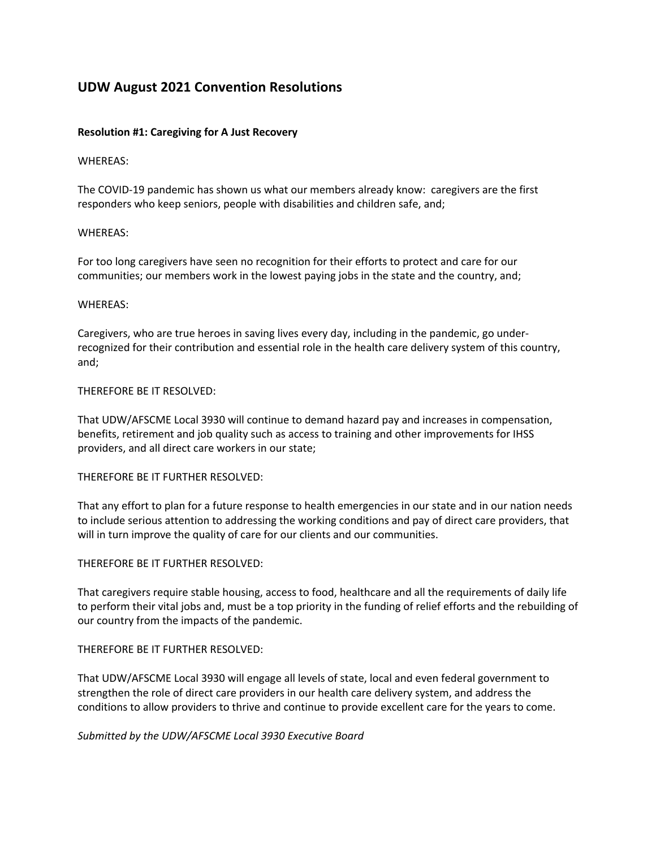# **UDW August 2021 Convention Resolutions**

# **Resolution #1: Caregiving for A Just Recovery**

#### WHEREAS:

The COVID-19 pandemic has shown us what our members already know: caregivers are the first responders who keep seniors, people with disabilities and children safe, and;

# WHEREAS:

For too long caregivers have seen no recognition for their efforts to protect and care for our communities; our members work in the lowest paying jobs in the state and the country, and;

#### WHEREAS:

Caregivers, who are true heroes in saving lives every day, including in the pandemic, go underrecognized for their contribution and essential role in the health care delivery system of this country, and;

# THEREFORE BE IT RESOLVED:

That UDW/AFSCME Local 3930 will continue to demand hazard pay and increases in compensation, benefits, retirement and job quality such as access to training and other improvements for IHSS providers, and all direct care workers in our state;

# THEREFORE BE IT FURTHER RESOLVED:

That any effort to plan for a future response to health emergencies in our state and in our nation needs to include serious attention to addressing the working conditions and pay of direct care providers, that will in turn improve the quality of care for our clients and our communities.

#### THEREFORE BE IT FURTHER RESOLVED:

That caregivers require stable housing, access to food, healthcare and all the requirements of daily life to perform their vital jobs and, must be a top priority in the funding of relief efforts and the rebuilding of our country from the impacts of the pandemic.

# THEREFORE BE IT FURTHER RESOLVED:

That UDW/AFSCME Local 3930 will engage all levels of state, local and even federal government to strengthen the role of direct care providers in our health care delivery system, and address the conditions to allow providers to thrive and continue to provide excellent care for the years to come.

*Submitted by the UDW/AFSCME Local 3930 Executive Board*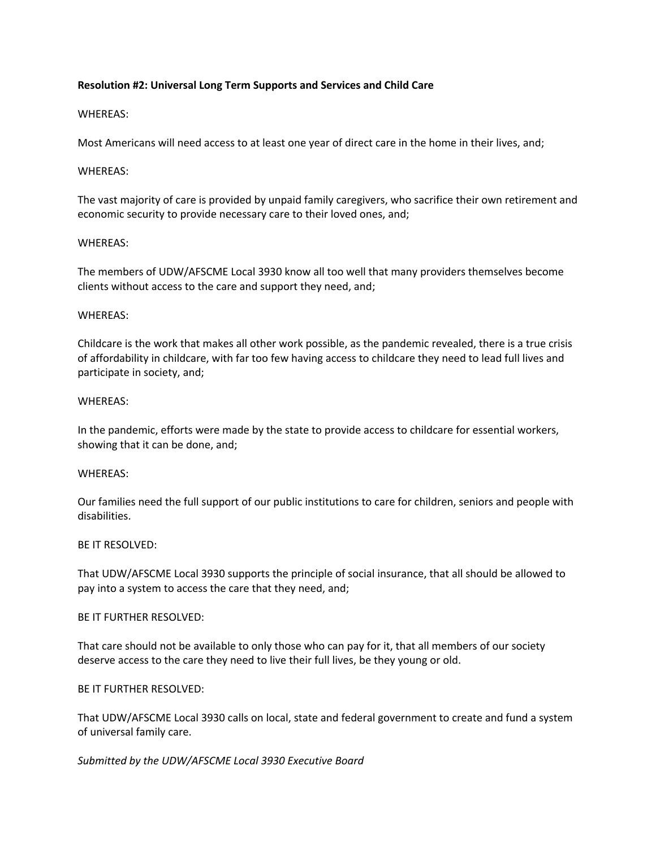# **Resolution #2: Universal Long Term Supports and Services and Child Care**

# WHEREAS:

Most Americans will need access to at least one year of direct care in the home in their lives, and;

# WHEREAS:

The vast majority of care is provided by unpaid family caregivers, who sacrifice their own retirement and economic security to provide necessary care to their loved ones, and;

# WHEREAS:

The members of UDW/AFSCME Local 3930 know all too well that many providers themselves become clients without access to the care and support they need, and;

# WHEREAS:

Childcare is the work that makes all other work possible, as the pandemic revealed, there is a true crisis of affordability in childcare, with far too few having access to childcare they need to lead full lives and participate in society, and;

# WHEREAS:

In the pandemic, efforts were made by the state to provide access to childcare for essential workers, showing that it can be done, and;

#### WHEREAS:

Our families need the full support of our public institutions to care for children, seniors and people with disabilities.

#### BE IT RESOLVED:

That UDW/AFSCME Local 3930 supports the principle of social insurance, that all should be allowed to pay into a system to access the care that they need, and;

# BE IT FURTHER RESOLVED:

That care should not be available to only those who can pay for it, that all members of our society deserve access to the care they need to live their full lives, be they young or old.

# BE IT FURTHER RESOLVED:

That UDW/AFSCME Local 3930 calls on local, state and federal government to create and fund a system of universal family care.

#### *Submitted by the UDW/AFSCME Local 3930 Executive Board*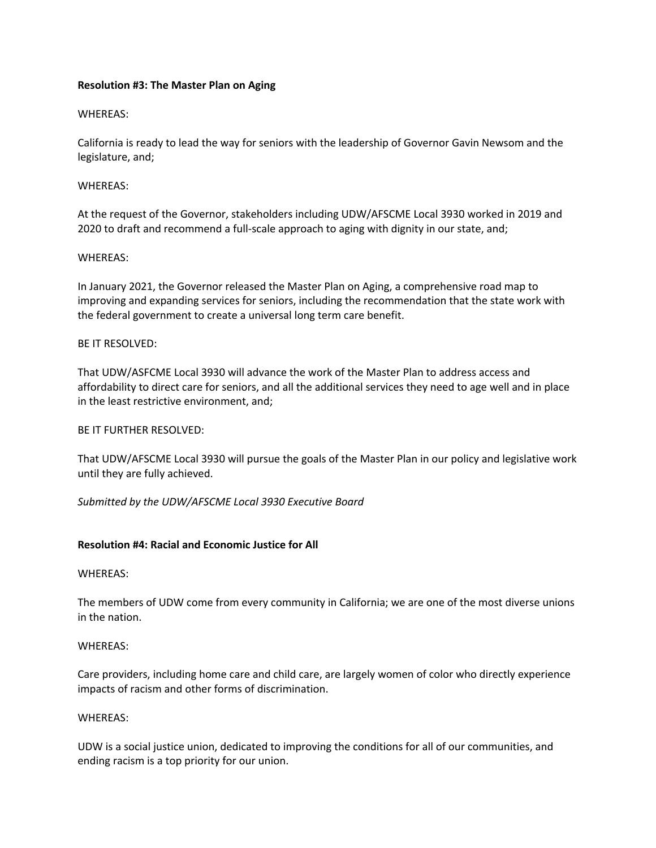# **Resolution #3: The Master Plan on Aging**

# WHEREAS:

California is ready to lead the way for seniors with the leadership of Governor Gavin Newsom and the legislature, and;

#### WHEREAS:

At the request of the Governor, stakeholders including UDW/AFSCME Local 3930 worked in 2019 and 2020 to draft and recommend a full-scale approach to aging with dignity in our state, and;

#### WHEREAS:

In January 2021, the Governor released the Master Plan on Aging, a comprehensive road map to improving and expanding services for seniors, including the recommendation that the state work with the federal government to create a universal long term care benefit.

# BE IT RESOLVED:

That UDW/ASFCME Local 3930 will advance the work of the Master Plan to address access and affordability to direct care for seniors, and all the additional services they need to age well and in place in the least restrictive environment, and;

#### BE IT FURTHER RESOLVED:

That UDW/AFSCME Local 3930 will pursue the goals of the Master Plan in our policy and legislative work until they are fully achieved.

#### *Submitted by the UDW/AFSCME Local 3930 Executive Board*

# **Resolution #4: Racial and Economic Justice for All**

#### WHEREAS:

The members of UDW come from every community in California; we are one of the most diverse unions in the nation.

#### WHEREAS:

Care providers, including home care and child care, are largely women of color who directly experience impacts of racism and other forms of discrimination.

#### WHEREAS:

UDW is a social justice union, dedicated to improving the conditions for all of our communities, and ending racism is a top priority for our union.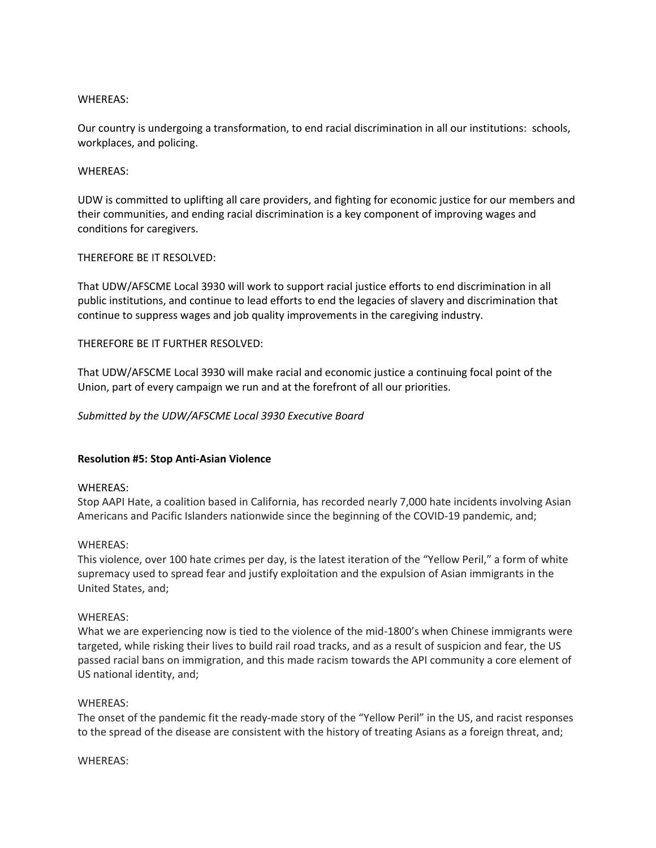Our country is undergoing a transformation, to end racial discrimination in all our institutions: schools, workplaces, and policing.

#### WHEREAS:

UDW is committed to uplifting all care providers, and fighting for economic justice for our members and their communities, and ending racial discrimination is a key component of improving wages and conditions for caregivers.

# THEREFORE BE IT RESOLVED:

That UDW/AFSCME Local 3930 will work to support racial justice efforts to end discrimination in all public institutions, and continue to lead efforts to end the legacies of slavery and discrimination that continue to suppress wages and job quality improvements in the caregiving industry.

# THEREFORE BE IT FURTHER RESOLVED:

That UDW/AFSCME Local 3930 will make racial and economic justice a continuing focal point of the Union, part of every campaign we run and at the forefront of all our priorities.

# *Submitted by the UDW/AFSCME Local 3930 Executive Board*

#### **Resolution #5: Stop Anti-Asian Violence**

#### WHEREAS:

Stop AAPI Hate, a coalition based in California, has recorded nearly 7,000 hate incidents involving Asian Americans and Pacific Islanders nationwide since the beginning of the COVID-19 pandemic, and;

#### WHEREAS:

This violence, over 100 hate crimes per day, is the latest iteration of the "Yellow Peril," a form of white supremacy used to spread fear and justify exploitation and the expulsion of Asian immigrants in the United States, and;

#### WHEREAS:

What we are experiencing now is tied to the violence of the mid-1800's when Chinese immigrants were targeted, while risking their lives to build rail road tracks, and as a result of suspicion and fear, the US passed racial bans on immigration, and this made racism towards the API community a core element of US national identity, and;

#### WHEREAS:

The onset of the pandemic fit the ready-made story of the "Yellow Peril" in the US, and racist responses to the spread of the disease are consistent with the history of treating Asians as a foreign threat, and;

#### WHEREAS: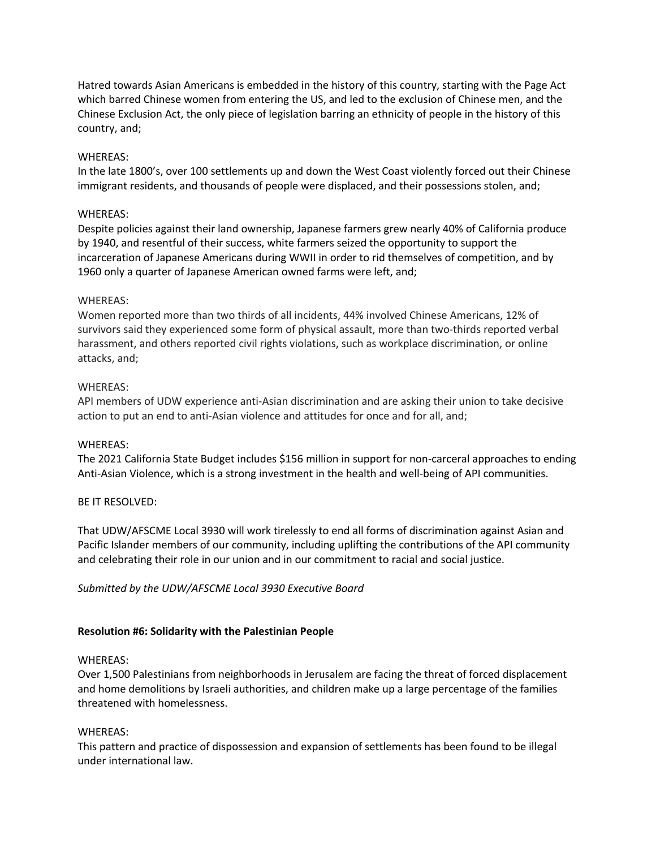Hatred towards Asian Americans is embedded in the history of this country, starting with the Page Act which barred Chinese women from entering the US, and led to the exclusion of Chinese men, and the Chinese Exclusion Act, the only piece of legislation barring an ethnicity of people in the history of this country, and;

#### WHEREAS:

In the late 1800's, over 100 settlements up and down the West Coast violently forced out their Chinese immigrant residents, and thousands of people were displaced, and their possessions stolen, and;

# WHEREAS:

Despite policies against their land ownership, Japanese farmers grew nearly 40% of California produce by 1940, and resentful of their success, white farmers seized the opportunity to support the incarceration of Japanese Americans during WWII in order to rid themselves of competition, and by 1960 only a quarter of Japanese American owned farms were left, and;

# WHEREAS:

Women reported more than two thirds of all incidents, 44% involved Chinese Americans, 12% of survivors said they experienced some form of physical assault, more than two-thirds reported verbal harassment, and others reported civil rights violations, such as workplace discrimination, or online attacks, and;

# WHEREAS:

API members of UDW experience anti-Asian discrimination and are asking their union to take decisive action to put an end to anti-Asian violence and attitudes for once and for all, and;

#### WHEREAS:

The 2021 California State Budget includes \$156 million in support for non-carceral approaches to ending Anti-Asian Violence, which is a strong investment in the health and well-being of API communities.

#### BE IT RESOLVED:

That UDW/AFSCME Local 3930 will work tirelessly to end all forms of discrimination against Asian and Pacific Islander members of our community, including uplifting the contributions of the API community and celebrating their role in our union and in our commitment to racial and social justice.

#### *Submitted by the UDW/AFSCME Local 3930 Executive Board*

#### **Resolution #6: Solidarity with the Palestinian People**

#### WHEREAS:

Over 1,500 Palestinians from neighborhoods in Jerusalem are facing the threat of forced displacement and home demolitions by Israeli authorities, and children make up a large percentage of the families threatened with homelessness.

#### WHEREAS:

This pattern and practice of dispossession and expansion of settlements has been found to be illegal under international law.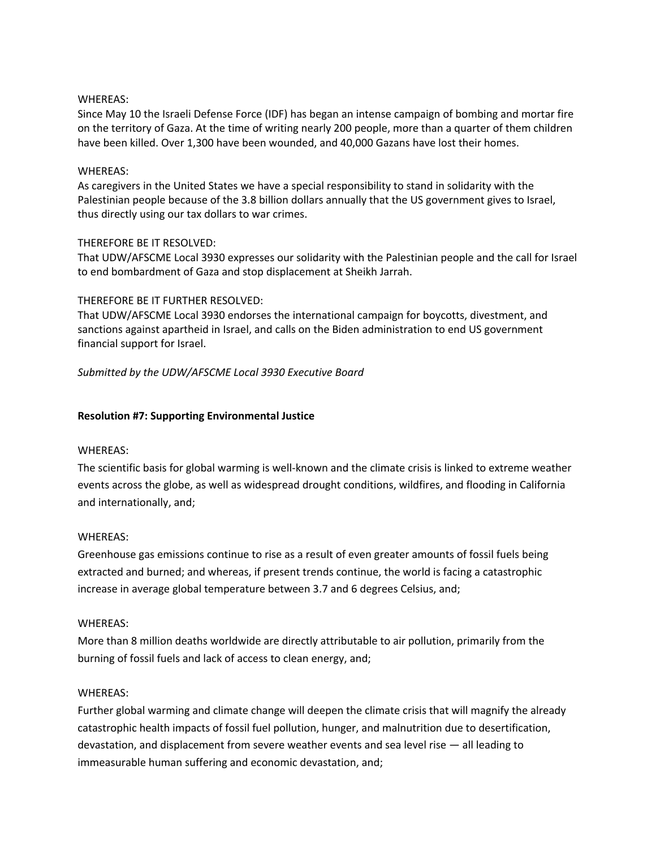Since May 10 the Israeli Defense Force (IDF) has began an intense campaign of bombing and mortar fire on the territory of Gaza. At the time of writing nearly 200 people, more than a quarter of them children have been killed. Over 1,300 have been wounded, and 40,000 Gazans have lost their homes.

#### WHEREAS:

As caregivers in the United States we have a special responsibility to stand in solidarity with the Palestinian people because of the 3.8 billion dollars annually that the US government gives to Israel, thus directly using our tax dollars to war crimes.

# THEREFORE BE IT RESOLVED:

That UDW/AFSCME Local 3930 expresses our solidarity with the Palestinian people and the call for Israel to end bombardment of Gaza and stop displacement at Sheikh Jarrah.

# THEREFORE BE IT FURTHER RESOLVED:

That UDW/AFSCME Local 3930 endorses the international campaign for boycotts, divestment, and sanctions against apartheid in Israel, and calls on the Biden administration to end US government financial support for Israel.

*Submitted by the UDW/AFSCME Local 3930 Executive Board*

# **Resolution #7: Supporting Environmental Justice**

#### WHEREAS:

The scientific basis for global warming is well-known and the climate crisis is linked to extreme weather events across the globe, as well as widespread drought conditions, wildfires, and flooding in California and internationally, and;

#### WHEREAS:

Greenhouse gas emissions continue to rise as a result of even greater amounts of fossil fuels being extracted and burned; and whereas, if present trends continue, the world is facing a catastrophic increase in average global temperature between 3.7 and 6 degrees Celsius, and;

#### WHEREAS:

More than 8 million deaths worldwide are directly attributable to air pollution, primarily from the burning of fossil fuels and lack of access to clean energy, and;

#### WHEREAS:

Further global warming and climate change will deepen the climate crisis that will magnify the already catastrophic health impacts of fossil fuel pollution, hunger, and malnutrition due to desertification, devastation, and displacement from severe weather events and sea level rise — all leading to immeasurable human suffering and economic devastation, and;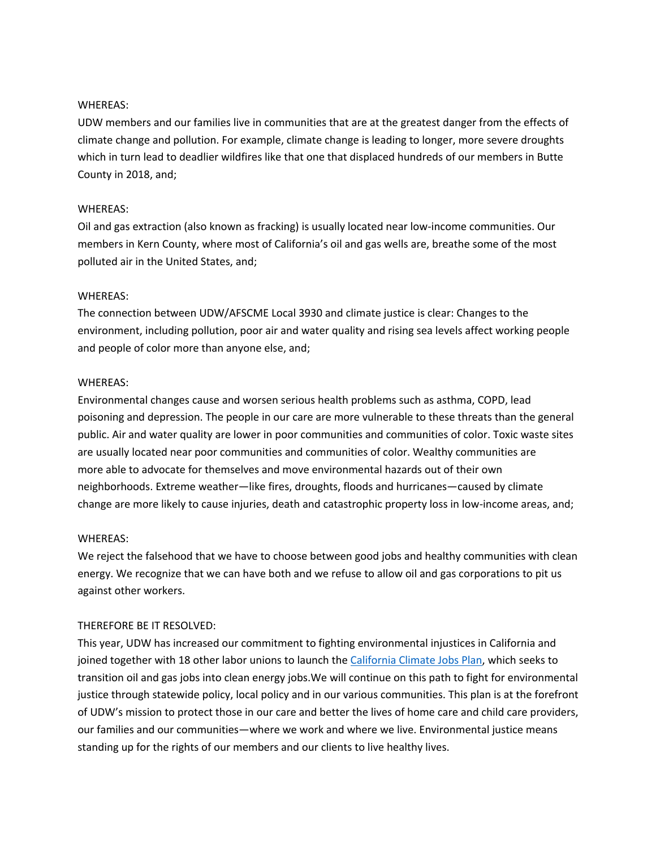UDW members and our families live in communities that are at the greatest danger from the effects of climate change and pollution. For example, climate change is leading to longer, more severe droughts which in turn lead to deadlier wildfires like that one that displaced hundreds of our members in Butte County in 2018, and;

# WHEREAS:

Oil and gas extraction (also known as fracking) is usually located near low-income communities. Our members in Kern County, where most of California's oil and gas wells are, breathe some of the most polluted air in the United States, and;

# WHEREAS:

The connection between UDW/AFSCME Local 3930 and climate justice is clear: Changes to the environment, including pollution, poor air and water quality and rising sea levels affect working people and people of color more than anyone else, and;

# WHEREAS:

Environmental changes cause and worsen serious health problems such as asthma, COPD, lead poisoning and depression. The people in our care are more vulnerable to these threats than the general public. Air and water quality are lower in poor communities and communities of color. Toxic waste sites are usually located near poor communities and communities of color. Wealthy communities are more able to advocate for themselves and move environmental hazards out of their own neighborhoods. Extreme weather—like fires, droughts, floods and hurricanes—caused by climate change are more likely to cause injuries, death and catastrophic property loss in low-income areas, and;

#### WHEREAS:

We reject the falsehood that we have to choose between good jobs and healthy communities with clean energy. We recognize that we can have both and we refuse to allow oil and gas corporations to pit us against other workers.

# THEREFORE BE IT RESOLVED:

This year, UDW has increased our commitment to fighting environmental injustices in California and joined together with 18 other labor unions to launch the California Climate Jobs Plan, which seeks to transition oil and gas jobs into clean energy jobs.We will continue on this path to fight for environmental justice through statewide policy, local policy and in our various communities. This plan is at the forefront of UDW's mission to protect those in our care and better the lives of home care and child care providers, our families and our communities—where we work and where we live. Environmental justice means standing up for the rights of our members and our clients to live healthy lives.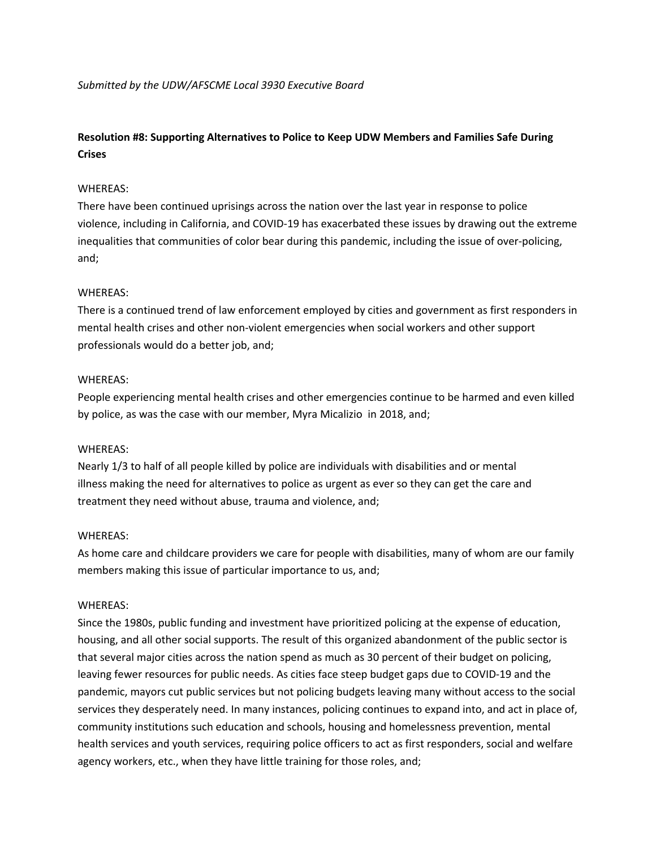*Submitted by the UDW/AFSCME Local 3930 Executive Board*

# **Resolution #8: Supporting Alternatives to Police to Keep UDW Members and Families Safe During Crises**

# WHEREAS:

There have been continued uprisings across the nation over the last year in response to police violence, including in California, and COVID-19 has exacerbated these issues by drawing out the extreme inequalities that communities of color bear during this pandemic, including the issue of over-policing, and;

# WHEREAS:

There is a continued trend of law enforcement employed by cities and government as first responders in mental health crises and other non-violent emergencies when social workers and other support professionals would do a better job, and;

# WHEREAS:

People experiencing mental health crises and other emergencies continue to be harmed and even killed by police, as was the case with our member, Myra Micalizio in 2018, and;

# WHEREAS:

Nearly 1/3 to half of all people killed by police are individuals with disabilities and or mental illness making the need for alternatives to police as urgent as ever so they can get the care and treatment they need without abuse, trauma and violence, and;

# WHEREAS:

As home care and childcare providers we care for people with disabilities, many of whom are our family members making this issue of particular importance to us, and;

# WHEREAS:

Since the 1980s, public funding and investment have prioritized policing at the expense of education, housing, and all other social supports. The result of this organized abandonment of the public sector is that several major cities across the nation spend as much as 30 percent of their budget on policing, leaving fewer resources for public needs. As cities face steep budget gaps due to COVID-19 and the pandemic, mayors cut public services but not policing budgets leaving many without access to the social services they desperately need. In many instances, policing continues to expand into, and act in place of, community institutions such education and schools, housing and homelessness prevention, mental health services and youth services, requiring police officers to act as first responders, social and welfare agency workers, etc., when they have little training for those roles, and;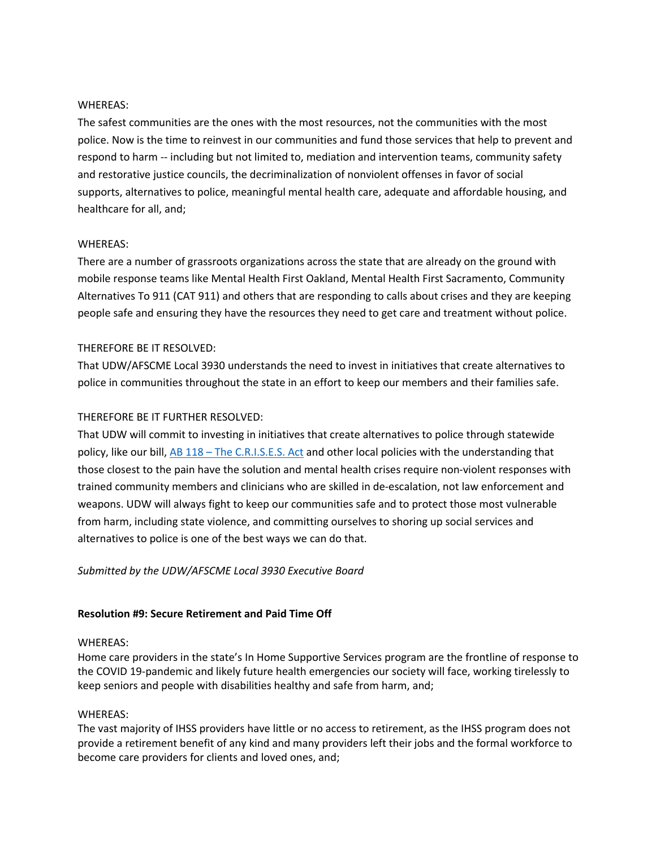The safest communities are the ones with the most resources, not the communities with the most police. Now is the time to reinvest in our communities and fund those services that help to prevent and respond to harm -- including but not limited to, mediation and intervention teams, community safety and restorative justice councils, the decriminalization of nonviolent offenses in favor of social supports, alternatives to police, meaningful mental health care, adequate and affordable housing, and healthcare for all, and;

#### WHEREAS:

There are a number of grassroots organizations across the state that are already on the ground with mobile response teams like Mental Health First Oakland, Mental Health First Sacramento, Community Alternatives To 911 (CAT 911) and others that are responding to calls about crises and they are keeping people safe and ensuring they have the resources they need to get care and treatment without police.

# THEREFORE BE IT RESOLVED:

That UDW/AFSCME Local 3930 understands the need to invest in initiatives that create alternatives to police in communities throughout the state in an effort to keep our members and their families safe.

# THEREFORE BE IT FURTHER RESOLVED:

That UDW will commit to investing in initiatives that create alternatives to police through statewide policy, like our bill, AB 118 – The C.R.I.S.E.S. Act and other local policies with the understanding that those closest to the pain have the solution and mental health crises require non-violent responses with trained community members and clinicians who are skilled in de-escalation, not law enforcement and weapons. UDW will always fight to keep our communities safe and to protect those most vulnerable from harm, including state violence, and committing ourselves to shoring up social services and alternatives to police is one of the best ways we can do that.

# *Submitted by the UDW/AFSCME Local 3930 Executive Board*

#### **Resolution #9: Secure Retirement and Paid Time Off**

#### WHEREAS:

Home care providers in the state's In Home Supportive Services program are the frontline of response to the COVID 19-pandemic and likely future health emergencies our society will face, working tirelessly to keep seniors and people with disabilities healthy and safe from harm, and;

#### WHEREAS:

The vast majority of IHSS providers have little or no access to retirement, as the IHSS program does not provide a retirement benefit of any kind and many providers left their jobs and the formal workforce to become care providers for clients and loved ones, and;